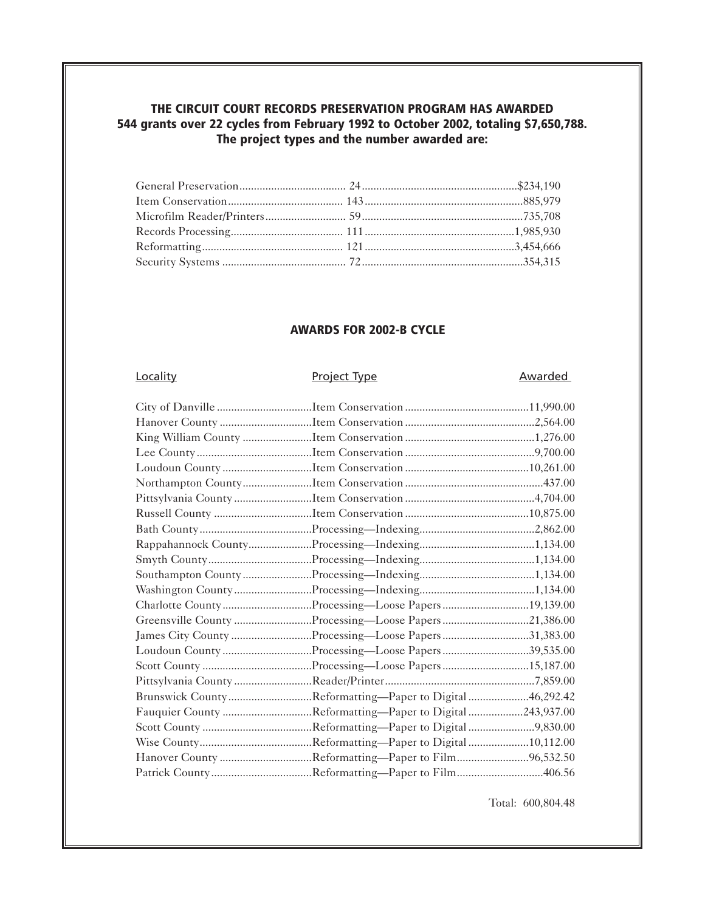## **THE CIRCUIT COURT RECORDS PRESERVATION PROGRAM HAS AWARDED 544 grants over 22 cycles from February 1992 to October 2002, totaling \$7,650,788. The project types and the number awarded are:**

## **AWARDS FOR 2002-B CYCLE**

# Locality **Project Type Awarded**

| Charlotte CountyProcessing-Loose Papers19,139.00         |  |
|----------------------------------------------------------|--|
| Greensville County Processing-Loose Papers 21,386.00     |  |
| James City County Processing—Loose Papers 31,383.00      |  |
| Loudoun CountyProcessing-Loose Papers39,535.00           |  |
|                                                          |  |
|                                                          |  |
| Brunswick CountyReformatting—Paper to Digital46,292.42   |  |
| Fauquier County Reformatting—Paper to Digital 243,937.00 |  |
|                                                          |  |
|                                                          |  |
| Hanover County Reformatting-Paper to Film96,532.50       |  |
| Patrick CountyReformatting-Paper to Film406.56           |  |

Total: 600,804.48